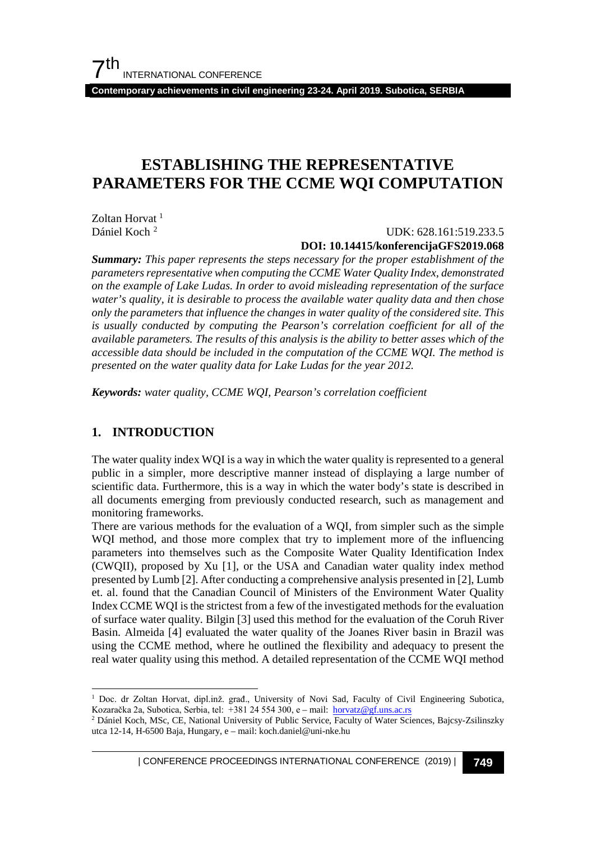**Contemporary achievements in civil engineering 23-24. April 2019. Subotica, SERBIA**

## **ESTABLISHING THE REPRESENTATIVE PARAMETERS FOR THE CCME WQI COMPUTATION**

Zoltan Horvat <sup>[1](#page-0-0)</sup> Dániel Koch [2](#page-0-1)

#### UDK: 628.161:519.233.5 **DOI: 10.14415/konferencijaGFS2019.068**

*Summary: This paper represents the steps necessary for the proper establishment of the parameters representative when computing the CCME Water Quality Index, demonstrated on the example of Lake Ludas. In order to avoid misleading representation of the surface water's quality, it is desirable to process the available water quality data and then chose only the parameters that influence the changes in water quality of the considered site. This is usually conducted by computing the Pearson's correlation coefficient for all of the available parameters. The results of this analysis is the ability to better asses which of the accessible data should be included in the computation of the CCME WQI. The method is presented on the water quality data for Lake Ludas for the year 2012.* 

*Keywords: water quality, CCME WQI, Pearson's correlation coefficient*

## **1. INTRODUCTION**

The water quality index WQI is a way in which the water quality is represented to a general public in a simpler, more descriptive manner instead of displaying a large number of scientific data. Furthermore, this is a way in which the water body's state is described in all documents emerging from previously conducted research, such as management and monitoring frameworks.

There are various methods for the evaluation of a WQI, from simpler such as the simple WQI method, and those more complex that try to implement more of the influencing parameters into themselves such as the Composite Water Quality Identification Index (CWQII), proposed by Xu [1], or the USA and Canadian water quality index method presented by Lumb [2]. After conducting a comprehensive analysis presented in [2], Lumb et. al. found that the Canadian Council of Ministers of the Environment Water Quality Index CCME WQI is the strictest from a few of the investigated methods for the evaluation of surface water quality. Bilgin [3] used this method for the evaluation of the Coruh River Basin. Almeida [4] evaluated the water quality of the Joanes River basin in Brazil was using the CCME method, where he outlined the flexibility and adequacy to present the real water quality using this method. A detailed representation of the CCME WQI method

| CONFERENCE PROCEEDINGS INTERNATIONAL CONFERENCE (2019) <sup>|</sup>**749**

<span id="page-0-0"></span><sup>&</sup>lt;sup>1</sup> Doc. dr Zoltan Horvat, dipl.inž. građ., University of Novi Sad, Faculty of Civil Engineering Subotica, Kozaračka 2a, Subotica, Serbia, tel: +381 24 554 300, e – mail: [horvatz@gf.uns.ac.rs](mailto:horvatz@gf.uns.ac.rs)

<span id="page-0-1"></span><sup>2</sup> Dániel Koch, MSc, CE, National University of Public Service, Faculty of Water Sciences, Bajcsy-Zsilinszky utca 12-14, H-6500 Baja, Hungary, e – mail: koch.daniel@uni-nke.hu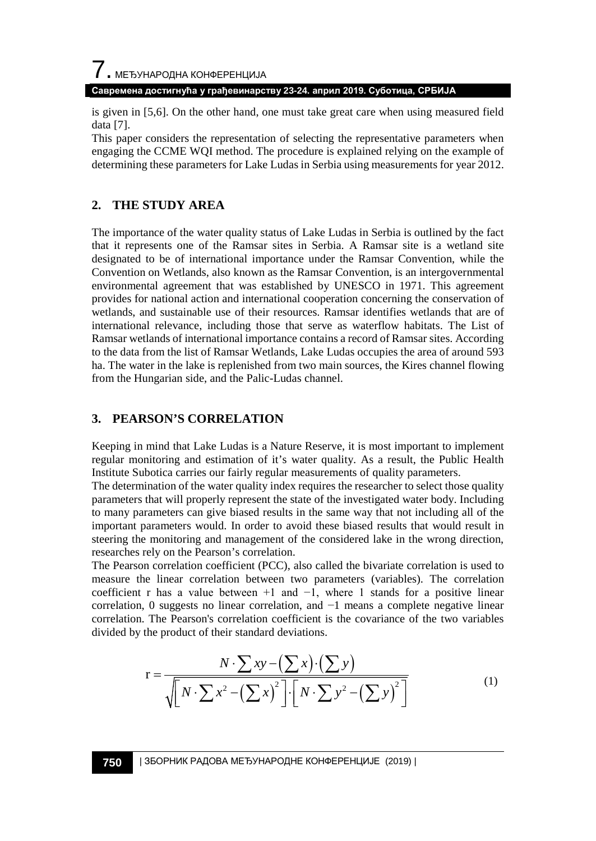

**Савремена достигнућа у грађевинарству 23-24. април 2019. Суботица, СРБИЈА**

is given in [5,6]. On the other hand, one must take great care when using measured field data [7].

This paper considers the representation of selecting the representative parameters when engaging the CCME WQI method. The procedure is explained relying on the example of determining these parameters for Lake Ludas in Serbia using measurements for year 2012.

### **2. THE STUDY AREA**

The importance of the water quality status of Lake Ludas in Serbia is outlined by the fact that it represents one of the Ramsar sites in Serbia. A Ramsar site is a wetland site designated to be of international importance under the Ramsar Convention, while the Convention on Wetlands, also known as the Ramsar Convention, is an intergovernmental environmental agreement that was established by UNESCO in 1971. This agreement provides for national action and international cooperation concerning the conservation of wetlands, and sustainable use of their resources. Ramsar identifies wetlands that are of international relevance, including those that serve as waterflow habitats. The List of Ramsar wetlands of international importance contains a record of Ramsar sites. According to the data from the list of Ramsar Wetlands, Lake Ludas occupies the area of around 593 ha. The water in the lake is replenished from two main sources, the Kires channel flowing from the Hungarian side, and the Palic-Ludas channel.

#### **3. PEARSON'S CORRELATION**

Keeping in mind that Lake Ludas is a Nature Reserve, it is most important to implement regular monitoring and estimation of it's water quality. As a result, the Public Health Institute Subotica carries our fairly regular measurements of quality parameters.

The determination of the water quality index requires the researcher to select those quality parameters that will properly represent the state of the investigated water body. Including to many parameters can give biased results in the same way that not including all of the important parameters would. In order to avoid these biased results that would result in steering the monitoring and management of the considered lake in the wrong direction, researches rely on the Pearson's correlation.

The Pearson correlation coefficient (PCC), also called the bivariate correlation is used to measure the linear correlation between two parameters (variables). The correlation coefficient r has a value between  $+1$  and  $-1$ , where 1 stands for a positive linear correlation, 0 suggests no linear correlation, and −1 means a complete negative linear correlation. The Pearson's correlation coefficient is the covariance of the two variables divided by the product of their standard deviations.

$$
r = \frac{N \cdot \sum xy - (\sum x) \cdot (\sum y)}{\sqrt{\left[N \cdot \sum x^2 - (\sum x)^2\right] \cdot \left[N \cdot \sum y^2 - (\sum y)^2\right]}}
$$
(1)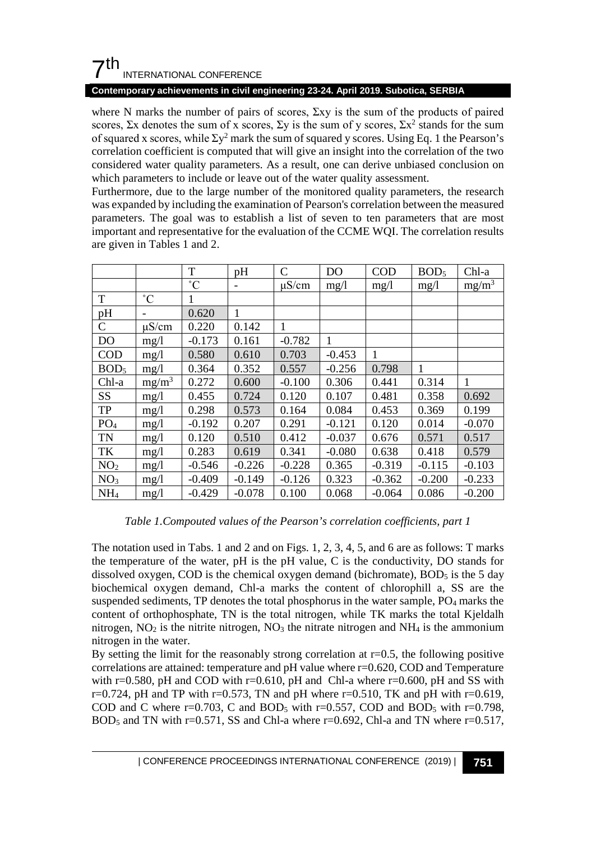## $7<sup>th</sup>$ INTERNATIONAL CONFERENCE

#### **Contemporary achievements in civil engineering 23-24. April 2019. Subotica, SERBIA**

where N marks the number of pairs of scores,  $\Sigma xy$  is the sum of the products of paired scores,  $\Sigma x$  denotes the sum of x scores,  $\Sigma y$  is the sum of y scores,  $\Sigma x^2$  stands for the sum of squared x scores, while  $\Sigma y^2$  mark the sum of squared y scores. Using Eq. 1 the Pearson's correlation coefficient is computed that will give an insight into the correlation of the two considered water quality parameters. As a result, one can derive unbiased conclusion on which parameters to include or leave out of the water quality assessment.

Furthermore, due to the large number of the monitored quality parameters, the research was expanded by including the examination of Pearson's correlation between the measured parameters. The goal was to establish a list of seven to ten parameters that are most important and representative for the evaluation of the CCME WQI. The correlation results are given in Tables 1 and 2.

|                  |                 | T           | pH       | C          | D <sub>O</sub> | <b>COD</b> | BOD <sub>5</sub> | Chl-a    |
|------------------|-----------------|-------------|----------|------------|----------------|------------|------------------|----------|
|                  |                 | $^{\circ}C$ | -        | $\mu$ S/cm | mg/1           | mg/1       | mg/1             | $mg/m^3$ |
| T                | $\rm ^{\circ}C$ | 1           |          |            |                |            |                  |          |
| pH               |                 | 0.620       | 1        |            |                |            |                  |          |
| $\mathbf C$      | $\mu$ S/cm      | 0.220       | 0.142    | 1          |                |            |                  |          |
| <b>DO</b>        | mg/l            | $-0.173$    | 0.161    | $-0.782$   | 1              |            |                  |          |
| <b>COD</b>       | mg/1            | 0.580       | 0.610    | 0.703      | $-0.453$       | 1          |                  |          |
| BOD <sub>5</sub> | mg/1            | 0.364       | 0.352    | 0.557      | $-0.256$       | 0.798      | 1                |          |
| Chl-a            | $mg/m^3$        | 0.272       | 0.600    | $-0.100$   | 0.306          | 0.441      | 0.314            | 1        |
| SS               | mg/1            | 0.455       | 0.724    | 0.120      | 0.107          | 0.481      | 0.358            | 0.692    |
| TP               | mg/1            | 0.298       | 0.573    | 0.164      | 0.084          | 0.453      | 0.369            | 0.199    |
| PO <sub>4</sub>  | mg/1            | $-0.192$    | 0.207    | 0.291      | $-0.121$       | 0.120      | 0.014            | $-0.070$ |
| <b>TN</b>        | mg/1            | 0.120       | 0.510    | 0.412      | $-0.037$       | 0.676      | 0.571            | 0.517    |
| TK               | mg/1            | 0.283       | 0.619    | 0.341      | $-0.080$       | 0.638      | 0.418            | 0.579    |
| NO <sub>2</sub>  | mg/l            | $-0.546$    | $-0.226$ | $-0.228$   | 0.365          | $-0.319$   | $-0.115$         | $-0.103$ |
| NO <sub>3</sub>  | mg/1            | $-0.409$    | $-0.149$ | $-0.126$   | 0.323          | $-0.362$   | $-0.200$         | $-0.233$ |
| NH <sub>4</sub>  | mg/1            | $-0.429$    | $-0.078$ | 0.100      | 0.068          | $-0.064$   | 0.086            | $-0.200$ |

#### *Table 1.Compouted values of the Pearson's correlation coefficients, part 1*

The notation used in Tabs. 1 and 2 and on Figs. 1, 2, 3, 4, 5, and 6 are as follows: T marks the temperature of the water, pH is the pH value, C is the conductivity, DO stands for dissolved oxygen, COD is the chemical oxygen demand (bichromate),  $BOD<sub>5</sub>$  is the 5 day biochemical oxygen demand, Chl-a marks the content of chlorophill a, SS are the suspended sediments, TP denotes the total phosphorus in the water sample, PO4 marks the content of orthophosphate, TN is the total nitrogen, while TK marks the total Kjeldalh nitrogen,  $NO_2$  is the nitrite nitrogen,  $NO_3$  the nitrate nitrogen and  $NH_4$  is the ammonium nitrogen in the water.

By setting the limit for the reasonably strong correlation at  $r=0.5$ , the following positive correlations are attained: temperature and pH value where r=0.620, COD and Temperature with r=0.580, pH and COD with r=0.610, pH and Chl-a where r=0.600, pH and SS with  $r=0.724$ , pH and TP with  $r=0.573$ , TN and pH where  $r=0.510$ , TK and pH with  $r=0.619$ , COD and C where r=0.703, C and BOD<sub>5</sub> with r=0.557, COD and BOD<sub>5</sub> with r=0.798,  $BOD<sub>5</sub>$  and TN with r=0.571, SS and Chl-a where r=0.692, Chl-a and TN where r=0.517,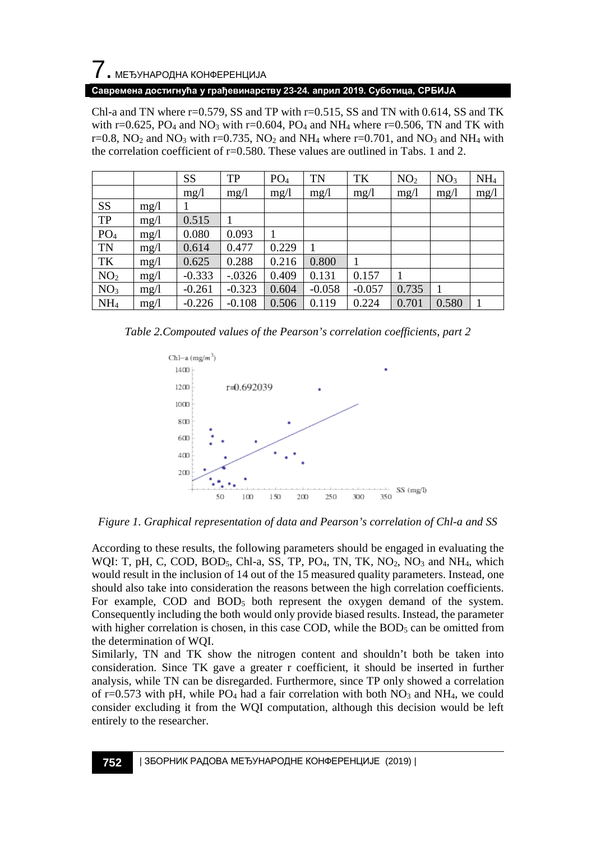# 7. МЕЂУНАРОДНА КОНФЕРЕНЦИЈА

#### **Савремена достигнућа у грађевинарству 23-24. април 2019. Суботица, СРБИЈА**

Chl-a and TN where  $r=0.579$ , SS and TP with  $r=0.515$ , SS and TN with 0.614, SS and TK with r=0.625, PO<sub>4</sub> and NO<sub>3</sub> with r=0.604, PO<sub>4</sub> and NH<sub>4</sub> where r=0.506, TN and TK with r=0.8,  $NO_2$  and  $NO_3$  with r=0.735,  $NO_2$  and  $NH_4$  where r=0.701, and  $NO_3$  and  $NH_4$  with the correlation coefficient of  $r=0.580$ . These values are outlined in Tabs. 1 and 2.

|                 |      | SS       | TP        | PO <sub>4</sub> | TN       | TK       | NO <sub>2</sub> | NO <sub>3</sub> | NH <sub>4</sub> |
|-----------------|------|----------|-----------|-----------------|----------|----------|-----------------|-----------------|-----------------|
|                 |      | mg/1     | mg/1      | mg/1            | mg/1     | mg/1     | mg/l            | mg/1            | mg/1            |
| <b>SS</b>       | mg/l |          |           |                 |          |          |                 |                 |                 |
| TP              | mg/1 | 0.515    |           |                 |          |          |                 |                 |                 |
| PO <sub>4</sub> | mg/1 | 0.080    | 0.093     |                 |          |          |                 |                 |                 |
| TN              | mg/1 | 0.614    | 0.477     | 0.229           |          |          |                 |                 |                 |
| TK              | mg/1 | 0.625    | 0.288     | 0.216           | 0.800    |          |                 |                 |                 |
| NO <sub>2</sub> | mg/1 | $-0.333$ | $-0.0326$ | 0.409           | 0.131    | 0.157    |                 |                 |                 |
| NO <sub>3</sub> | mg/1 | $-0.261$ | $-0.323$  | 0.604           | $-0.058$ | $-0.057$ | 0.735           |                 |                 |
| NH <sub>4</sub> | mg/1 | $-0.226$ | $-0.108$  | 0.506           | 0.119    | 0.224    | 0.701           | 0.580           |                 |

*Table 2.Compouted values of the Pearson's correlation coefficients, part 2*



*Figure 1. Graphical representation of data and Pearson's correlation of Chl-a and SS*

According to these results, the following parameters should be engaged in evaluating the WQI: T, pH, C, COD, BOD<sub>5</sub>, Chl-a, SS, TP, PO<sub>4</sub>, TN, TK, NO<sub>2</sub>, NO<sub>3</sub> and NH<sub>4</sub>, which would result in the inclusion of 14 out of the 15 measured quality parameters. Instead, one should also take into consideration the reasons between the high correlation coefficients. For example, COD and BOD5 both represent the oxygen demand of the system. Consequently including the both would only provide biased results. Instead, the parameter with higher correlation is chosen, in this case COD, while the BOD<sub>5</sub> can be omitted from the determination of WQI.

Similarly, TN and TK show the nitrogen content and shouldn't both be taken into consideration. Since TK gave a greater r coefficient, it should be inserted in further analysis, while TN can be disregarded. Furthermore, since TP only showed a correlation of r=0.573 with pH, while  $PO_4$  had a fair correlation with both  $NO_3$  and  $NH_4$ , we could consider excluding it from the WQI computation, although this decision would be left entirely to the researcher.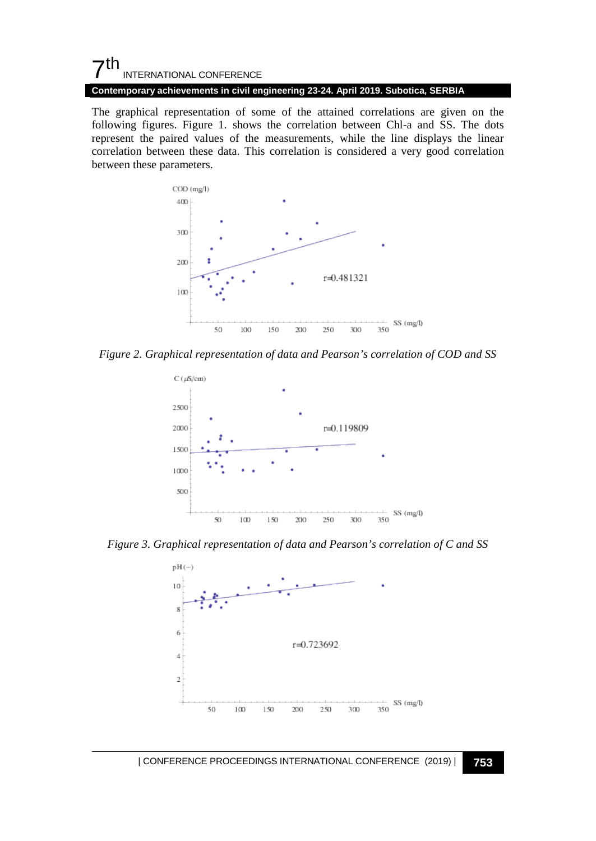## 7th INTERNATIONAL CONFERENCE

**Contemporary achievements in civil engineering 23-24. April 2019. Subotica, SERBIA**

The graphical representation of some of the attained correlations are given on the following figures. Figure 1. shows the correlation between Chl-a and SS. The dots represent the paired values of the measurements, while the line displays the linear correlation between these data. This correlation is considered a very good correlation between these parameters.



*Figure 2. Graphical representation of data and Pearson's correlation of COD and SS* 



*Figure 3. Graphical representation of data and Pearson's correlation of C and SS* 



| CONFERENCE PROCEEDINGS INTERNATIONAL CONFERENCE (2019) <sup>|</sup>**753**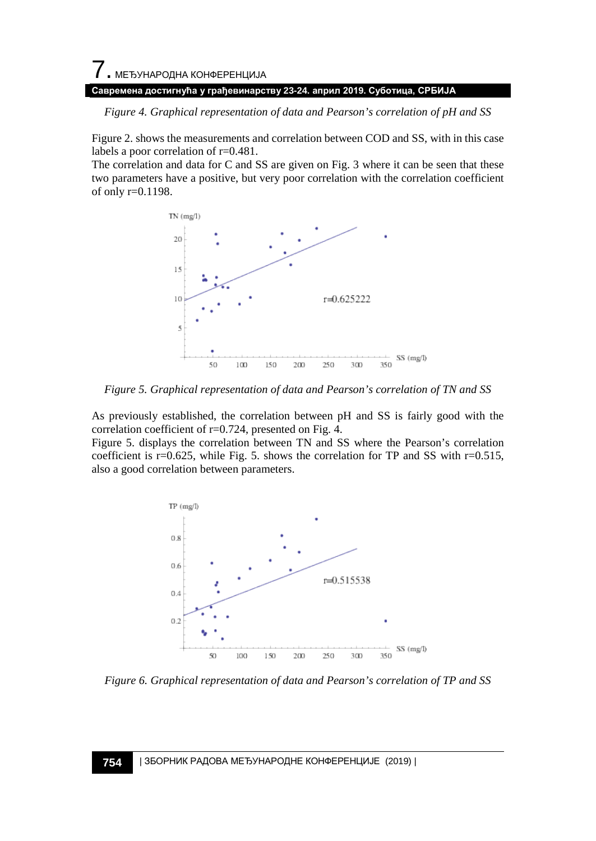# 7. МЕЂУНАРОДНА КОНФЕРЕНЦИЈА **Савремена достигнућа у грађевинарству 23-24. април 2019. Суботица, СРБИЈА**

*Figure 4. Graphical representation of data and Pearson's correlation of pH and SS* 

Figure 2. shows the measurements and correlation between COD and SS, with in this case labels a poor correlation of r=0.481.

The correlation and data for C and SS are given on Fig. 3 where it can be seen that these two parameters have a positive, but very poor correlation with the correlation coefficient of only r=0.1198.



*Figure 5. Graphical representation of data and Pearson's correlation of TN and SS* 

As previously established, the correlation between pH and SS is fairly good with the correlation coefficient of r=0.724, presented on Fig. 4.

Figure 5. displays the correlation between TN and SS where the Pearson's correlation coefficient is  $r=0.625$ , while Fig. 5. shows the correlation for TP and SS with  $r=0.515$ , also a good correlation between parameters.



*Figure 6. Graphical representation of data and Pearson's correlation of TP and SS*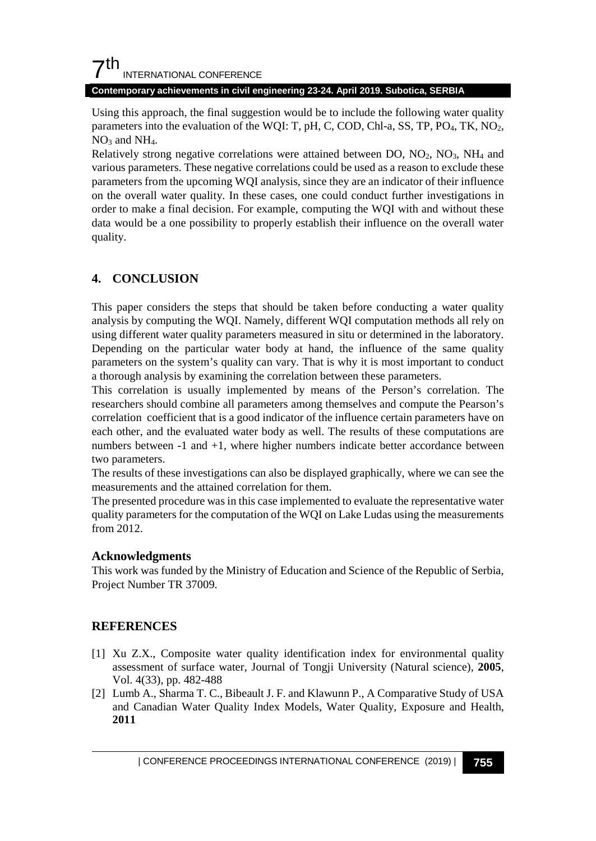## $7<sup>th</sup>$ INTERNATIONAL CONFERENCE

**Contemporary achievements in civil engineering 23-24. April 2019. Subotica, SERBIA**

Using this approach, the final suggestion would be to include the following water quality parameters into the evaluation of the WQI: T, pH, C, COD, Chl-a, SS, TP,  $PO_4$ , TK,  $NO_2$ ,  $NO<sub>3</sub>$  and  $NH<sub>4</sub>$ .

Relatively strong negative correlations were attained between DO,  $NO<sub>2</sub>$ ,  $NO<sub>3</sub>$ ,  $NH<sub>4</sub>$  and various parameters. These negative correlations could be used as a reason to exclude these parameters from the upcoming WQI analysis, since they are an indicator of their influence on the overall water quality. In these cases, one could conduct further investigations in order to make a final decision. For example, computing the WQI with and without these data would be a one possibility to properly establish their influence on the overall water quality.

## **4. CONCLUSION**

This paper considers the steps that should be taken before conducting a water quality analysis by computing the WQI. Namely, different WQI computation methods all rely on using different water quality parameters measured in situ or determined in the laboratory. Depending on the particular water body at hand, the influence of the same quality parameters on the system's quality can vary. That is why it is most important to conduct a thorough analysis by examining the correlation between these parameters.

This correlation is usually implemented by means of the Person's correlation. The researchers should combine all parameters among themselves and compute the Pearson's correlation coefficient that is a good indicator of the influence certain parameters have on each other, and the evaluated water body as well. The results of these computations are numbers between -1 and +1, where higher numbers indicate better accordance between two parameters.

The results of these investigations can also be displayed graphically, where we can see the measurements and the attained correlation for them.

The presented procedure was in this case implemented to evaluate the representative water quality parameters for the computation of the WQI on Lake Ludas using the measurements from 2012.

## **Acknowledgments**

This work was funded by the Ministry of Education and Science of the Republic of Serbia, Project Number TR 37009.

## **REFERENCES**

- [1] Xu Z.X., Composite water quality identification index for environmental quality assessment of surface water, Journal of Tongji University (Natural science), **2005**, Vol. 4(33), pp. 482-488
- [2] Lumb A., Sharma T. C., Bibeault J. F. and Klawunn P., A Comparative Study of USA and Canadian Water Quality Index Models, Water Quality, Exposure and Health, **2011**